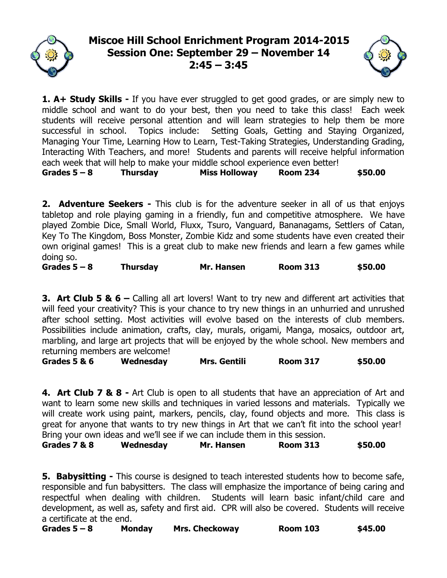# **Miscoe Hill School Enrichment Program 2014-2015 Session One: September 29 – November 14 2:45 – 3:45**



**1. A+ Study Skills -** If you have ever struggled to get good grades, or are simply new to middle school and want to do your best, then you need to take this class! Each week students will receive personal attention and will learn strategies to help them be more successful in school. Topics include: Setting Goals, Getting and Staying Organized, Managing Your Time, Learning How to Learn, Test-Taking Strategies, Understanding Grading, Interacting With Teachers, and more! Students and parents will receive helpful information each week that will help to make your middle school experience even better!

**Grades 5 – 8 Thursday Miss Holloway Room 234 \$50.00**

**2. Adventure Seekers -** This club is for the adventure seeker in all of us that enjoys tabletop and role playing gaming in a friendly, fun and competitive atmosphere. We have played Zombie Dice, Small World, Fluxx, Tsuro, Vanguard, Bananagams, Settlers of Catan, Key To The Kingdom, Boss Monster, Zombie Kidz and some students have even created their own original games! This is a great club to make new friends and learn a few games while doing so.

**Grades 5 – 8 Thursday Mr. Hansen Room 313 \$50.00**

**3. Art Club 5 & 6 –** Calling all art lovers! Want to try new and different art activities that will feed your creativity? This is your chance to try new things in an unhurried and unrushed after school setting. Most activities will evolve based on the interests of club members. Possibilities include animation, crafts, clay, murals, origami, Manga, mosaics, outdoor art, marbling, and large art projects that will be enjoyed by the whole school. New members and returning members are welcome!

**Grades 5 & 6 Wednesday Mrs. Gentili Room 317 \$50.00**

**4. Art Club 7 & 8 -** Art Club is open to all students that have an appreciation of Art and want to learn some new skills and techniques in varied lessons and materials. Typically we will create work using paint, markers, pencils, clay, found objects and more. This class is great for anyone that wants to try new things in Art that we can't fit into the school year! Bring your own ideas and we'll see if we can include them in this session.

**Grades 7 & 8 Wednesday Mr. Hansen Room 313 \$50.00**

**5. Babysitting -** This course is designed to teach interested students how to become safe, responsible and fun babysitters. The class will emphasize the importance of being caring and respectful when dealing with children. Students will learn basic infant/child care and development, as well as, safety and first aid. CPR will also be covered. Students will receive a certificate at the end.

**Grades 5 – 8 Monday Mrs. Checkoway Room 103 \$45.00**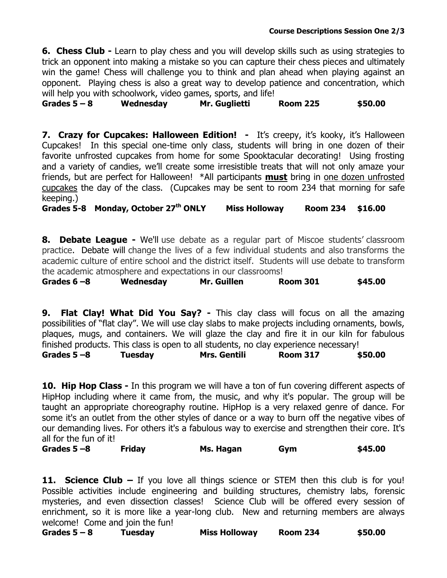**6. Chess Club -** Learn to play chess and you will develop skills such as using strategies to trick an opponent into making a mistake so you can capture their chess pieces and ultimately win the game! Chess will challenge you to think and plan ahead when playing against an opponent. Playing chess is also a great way to develop patience and concentration, which will help you with schoolwork, video games, sports, and life!

**Grades 5 – 8 Wednesday Mr. Guglietti Room 225 \$50.00**

**7. Crazy for Cupcakes: Halloween Edition!** - It's creepy, it's kooky, it's Halloween Cupcakes! In this special one-time only class, students will bring in one dozen of their favorite unfrosted cupcakes from home for some Spooktacular decorating! Using frosting and a variety of candies, we'll create some irresistible treats that will not only amaze your friends, but are perfect for Halloween! \*All participants **must** bring in one dozen unfrosted cupcakes the day of the class. (Cupcakes may be sent to room 234 that morning for safe keeping.)

**Grades 5-8 Monday, October 27th ONLY Miss Holloway Room 234 \$16.00**

**8. Debate League -** We'll use debate as a regular part of Miscoe students' classroom practice. Debate will change the lives of a few individual students and also transforms the academic culture of entire school and the district itself. Students will use debate to transform the academic atmosphere and expectations in our classrooms!

| Grades $6 - 8$ | Mr. Guillen<br>Wednesday | <b>Room 301</b> | \$45.00 |
|----------------|--------------------------|-----------------|---------|
|----------------|--------------------------|-----------------|---------|

**9. Flat Clay! What Did You Say? -** This clay class will focus on all the amazing possibilities of "flat clay". We will use clay slabs to make projects including ornaments, bowls, plaques, mugs, and containers. We will glaze the clay and fire it in our kiln for fabulous finished products. This class is open to all students, no clay experience necessary!

**Grades 5 –8 Tuesday Mrs. Gentili Room 317 \$50.00**

**10. Hip Hop Class -** In this program we will have a ton of fun covering different aspects of HipHop including where it came from, the music, and why it's popular. The group will be taught an appropriate choreography routine. HipHop is a very relaxed genre of dance. For some it's an outlet from the other styles of dance or a way to burn off the negative vibes of our demanding lives. For others it's a fabulous way to exercise and strengthen their core. It's all for the fun of it!

**Grades 5 –8 Friday Ms. Hagan Gym \$45.00**

**11. Science Club –** If you love all things science or STEM then this club is for you! Possible activities include engineering and building structures, chemistry labs, forensic mysteries, and even dissection classes! Science Club will be offered every session of enrichment, so it is more like a year-long club. New and returning members are always welcome! Come and join the fun!

**Grades 5 – 8 Tuesday Miss Holloway Room 234 \$50.00**